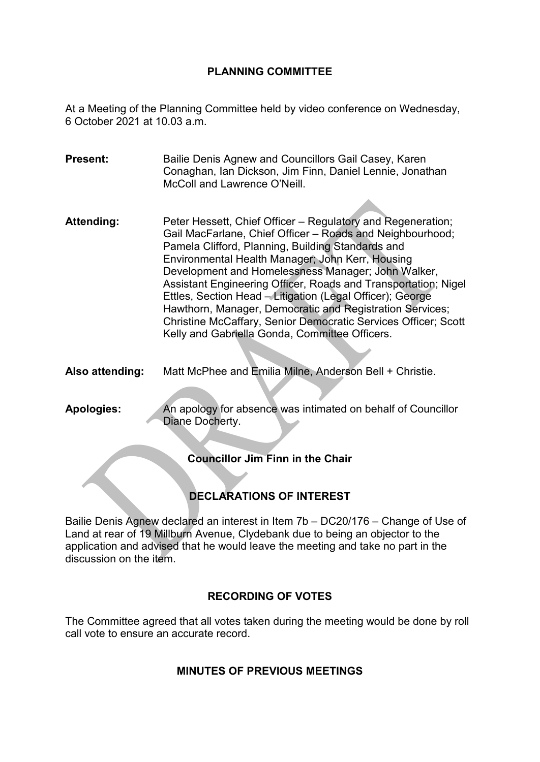# **PLANNING COMMITTEE**

At a Meeting of the Planning Committee held by video conference on Wednesday, 6 October 2021 at 10.03 a.m.

| <b>Present:</b> | Bailie Denis Agnew and Councillors Gail Casey, Karen<br>Conaghan, Ian Dickson, Jim Finn, Daniel Lennie, Jonathan<br>McColl and Lawrence O'Neill.                                                                                                                                                                                                                                                                                                                                                                                                                                                       |
|-----------------|--------------------------------------------------------------------------------------------------------------------------------------------------------------------------------------------------------------------------------------------------------------------------------------------------------------------------------------------------------------------------------------------------------------------------------------------------------------------------------------------------------------------------------------------------------------------------------------------------------|
|                 |                                                                                                                                                                                                                                                                                                                                                                                                                                                                                                                                                                                                        |
| Attending:      | Peter Hessett, Chief Officer – Regulatory and Regeneration;<br>Gail MacFarlane, Chief Officer - Roads and Neighbourhood;<br>Pamela Clifford, Planning, Building Standards and<br>Environmental Health Manager; John Kerr, Housing<br>Development and Homelessness Manager; John Walker,<br>Assistant Engineering Officer, Roads and Transportation; Nigel<br>Ettles, Section Head - Litigation (Legal Officer); George<br>Hawthorn, Manager, Democratic and Registration Services;<br>Christine McCaffary, Senior Democratic Services Officer; Scott<br>Kelly and Gabriella Gonda, Committee Officers. |

**Also attending:** Matt McPhee and Emilia Milne, Anderson Bell + Christie.

**Apologies:** An apology for absence was intimated on behalf of Councillor Diane Docherty.

**Councillor Jim Finn in the Chair**

# **DECLARATIONS OF INTEREST**

Bailie Denis Agnew declared an interest in Item 7b – DC20/176 – Change of Use of Land at rear of 19 Millburn Avenue, Clydebank due to being an objector to the application and advised that he would leave the meeting and take no part in the discussion on the item.

# **RECORDING OF VOTES**

The Committee agreed that all votes taken during the meeting would be done by roll call vote to ensure an accurate record.

## **MINUTES OF PREVIOUS MEETINGS**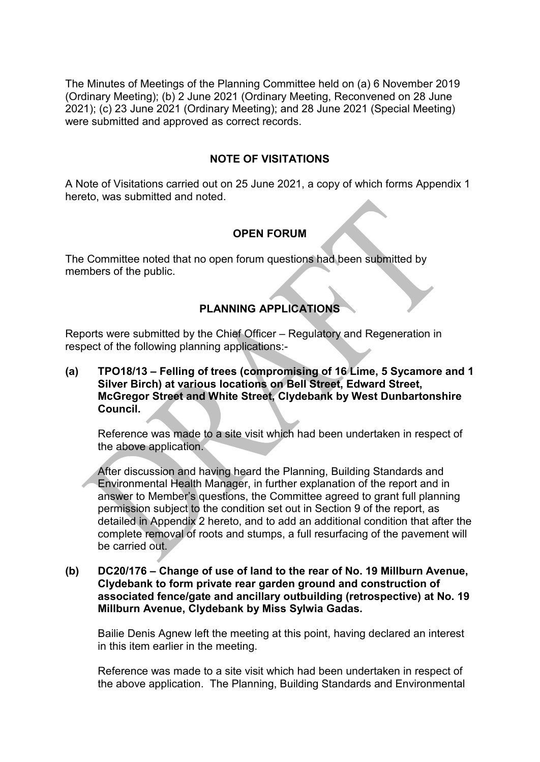The Minutes of Meetings of the Planning Committee held on (a) 6 November 2019 (Ordinary Meeting); (b) 2 June 2021 (Ordinary Meeting, Reconvened on 28 June 2021); (c) 23 June 2021 (Ordinary Meeting); and 28 June 2021 (Special Meeting) were submitted and approved as correct records.

## **NOTE OF VISITATIONS**

A Note of Visitations carried out on 25 June 2021, a copy of which forms Appendix 1 hereto, was submitted and noted.

## **OPEN FORUM**

The Committee noted that no open forum questions had been submitted by members of the public.

# **PLANNING APPLICATIONS**

Reports were submitted by the Chief Officer – Regulatory and Regeneration in respect of the following planning applications:-

**(a) TPO18/13 – Felling of trees (compromising of 16 Lime, 5 Sycamore and 1 Silver Birch) at various locations on Bell Street, Edward Street, McGregor Street and White Street, Clydebank by West Dunbartonshire Council.**

Reference was made to a site visit which had been undertaken in respect of the above application.

After discussion and having heard the Planning, Building Standards and Environmental Health Manager, in further explanation of the report and in answer to Member's questions, the Committee agreed to grant full planning permission subject to the condition set out in Section 9 of the report, as detailed in Appendix 2 hereto, and to add an additional condition that after the complete removal of roots and stumps, a full resurfacing of the pavement will be carried out.

**(b) DC20/176 – Change of use of land to the rear of No. 19 Millburn Avenue, Clydebank to form private rear garden ground and construction of associated fence/gate and ancillary outbuilding (retrospective) at No. 19 Millburn Avenue, Clydebank by Miss Sylwia Gadas.**

Bailie Denis Agnew left the meeting at this point, having declared an interest in this item earlier in the meeting.

Reference was made to a site visit which had been undertaken in respect of the above application. The Planning, Building Standards and Environmental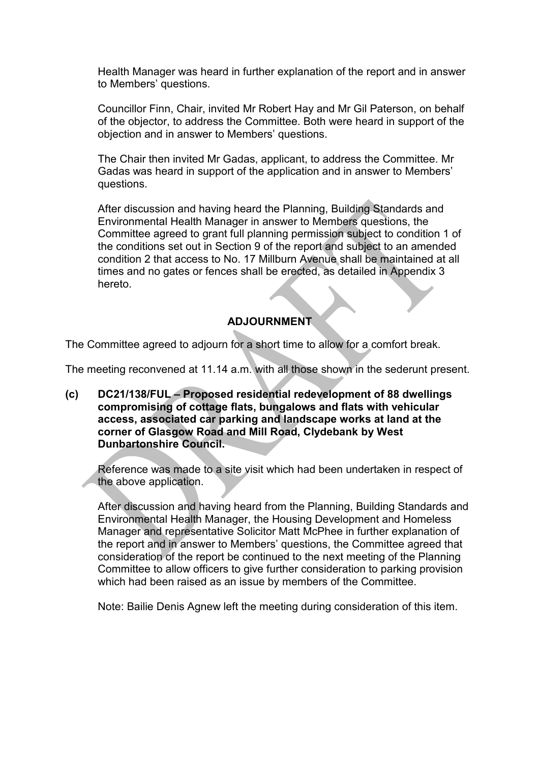Health Manager was heard in further explanation of the report and in answer to Members' questions.

Councillor Finn, Chair, invited Mr Robert Hay and Mr Gil Paterson, on behalf of the objector, to address the Committee. Both were heard in support of the objection and in answer to Members' questions.

The Chair then invited Mr Gadas, applicant, to address the Committee. Mr Gadas was heard in support of the application and in answer to Members' questions.

After discussion and having heard the Planning, Building Standards and Environmental Health Manager in answer to Members questions, the Committee agreed to grant full planning permission subject to condition 1 of the conditions set out in Section 9 of the report and subject to an amended condition 2 that access to No. 17 Millburn Avenue shall be maintained at all times and no gates or fences shall be erected, as detailed in Appendix 3 hereto.

# **ADJOURNMENT**

The Committee agreed to adjourn for a short time to allow for a comfort break.

The meeting reconvened at 11.14 a.m. with all those shown in the sederunt present.

**(c) DC21/138/FUL – Proposed residential redevelopment of 88 dwellings compromising of cottage flats, bungalows and flats with vehicular access, associated car parking and landscape works at land at the corner of Glasgow Road and Mill Road, Clydebank by West Dunbartonshire Council.**

Reference was made to a site visit which had been undertaken in respect of the above application.

After discussion and having heard from the Planning, Building Standards and Environmental Health Manager, the Housing Development and Homeless Manager and representative Solicitor Matt McPhee in further explanation of the report and in answer to Members' questions, the Committee agreed that consideration of the report be continued to the next meeting of the Planning Committee to allow officers to give further consideration to parking provision which had been raised as an issue by members of the Committee.

Note: Bailie Denis Agnew left the meeting during consideration of this item.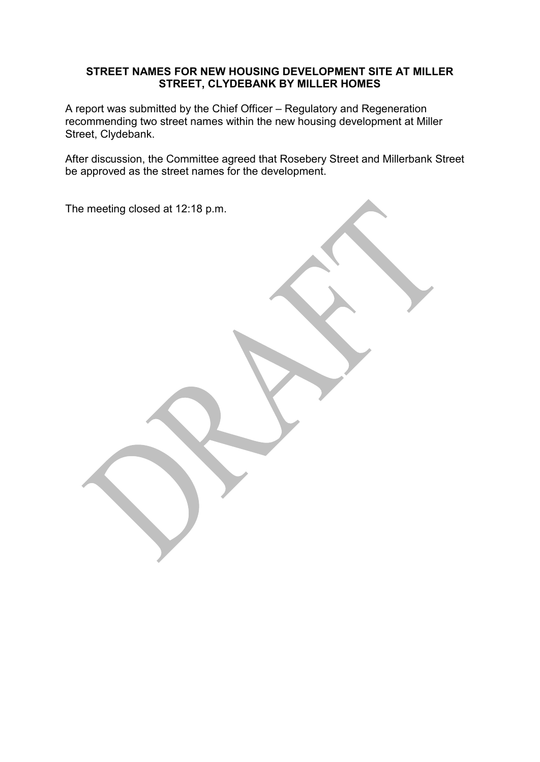#### **STREET NAMES FOR NEW HOUSING DEVELOPMENT SITE AT MILLER STREET, CLYDEBANK BY MILLER HOMES**

A report was submitted by the Chief Officer – Regulatory and Regeneration recommending two street names within the new housing development at Miller Street, Clydebank.

After discussion, the Committee agreed that Rosebery Street and Millerbank Street be approved as the street names for the development.

The meeting closed at 12:18 p.m.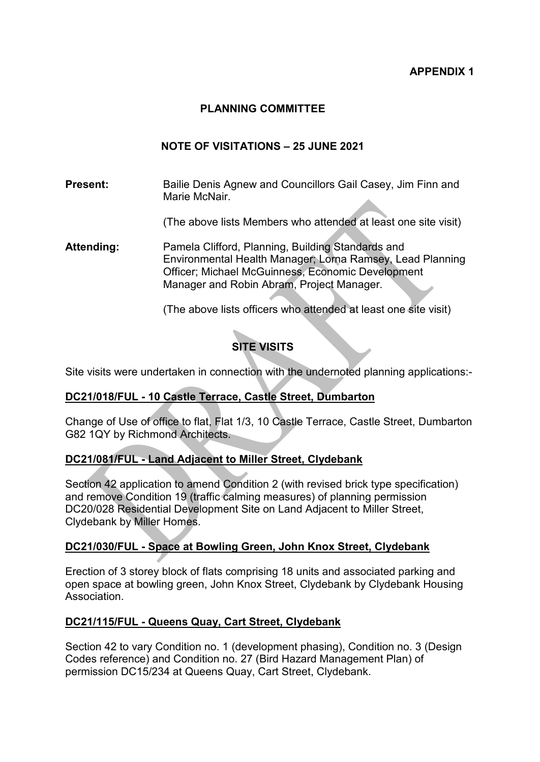## **APPENDIX 1**

# **PLANNING COMMITTEE**

# **NOTE OF VISITATIONS – 25 JUNE 2021**

**Present:** Bailie Denis Agnew and Councillors Gail Casey, Jim Finn and Marie McNair.

(The above lists Members who attended at least one site visit)

Attending: Pamela Clifford, Planning, Building Standards and Environmental Health Manager; Lorna Ramsey, Lead Planning Officer; Michael McGuinness, Economic Development Manager and Robin Abram, Project Manager.

(The above lists officers who attended at least one site visit)

# **SITE VISITS**

Site visits were undertaken in connection with the undernoted planning applications:-

# **DC21/018/FUL - 10 Castle Terrace, Castle Street, Dumbarton**

Change of Use of office to flat, Flat 1/3, 10 Castle Terrace, Castle Street, Dumbarton G82 1QY by Richmond Architects.

# **DC21/081/FUL - Land Adjacent to Miller Street, Clydebank**

Section 42 application to amend Condition 2 (with revised brick type specification) and remove Condition 19 (traffic calming measures) of planning permission DC20/028 Residential Development Site on Land Adjacent to Miller Street, Clydebank by Miller Homes.

## **DC21/030/FUL - Space at Bowling Green, John Knox Street, Clydebank**

Erection of 3 storey block of flats comprising 18 units and associated parking and open space at bowling green, John Knox Street, Clydebank by Clydebank Housing Association.

## **DC21/115/FUL - Queens Quay, Cart Street, Clydebank**

Section 42 to vary Condition no. 1 (development phasing), Condition no. 3 (Design Codes reference) and Condition no. 27 (Bird Hazard Management Plan) of permission DC15/234 at Queens Quay, Cart Street, Clydebank.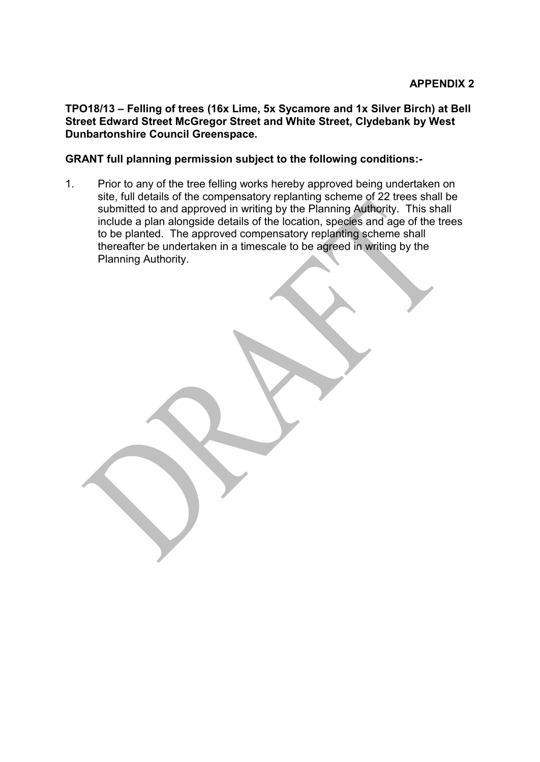**TPO18/13 – Felling of trees (16x Lime, 5x Sycamore and 1x Silver Birch) at Bell Street Edward Street McGregor Street and White Street, Clydebank by West Dunbartonshire Council Greenspace.**

#### **GRANT full planning permission subject to the following conditions:-**

1. Prior to any of the tree felling works hereby approved being undertaken on site, full details of the compensatory replanting scheme of 22 trees shall be submitted to and approved in writing by the Planning Authority. This shall include a plan alongside details of the location, species and age of the trees to be planted. The approved compensatory replanting scheme shall thereafter be undertaken in a timescale to be agreed in writing by the Planning Authority.